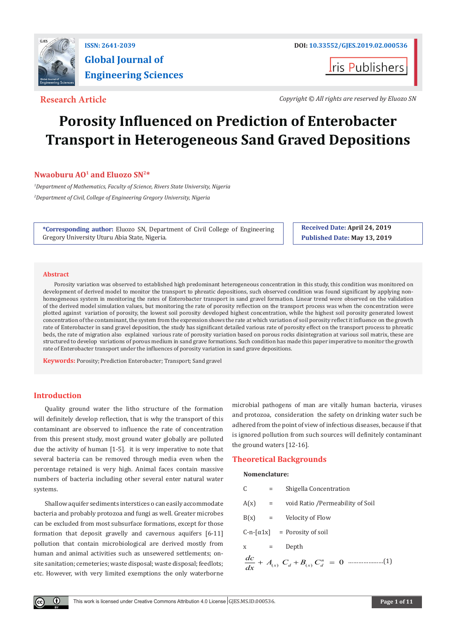

# **Global Journal of Engineering Sciences**

**I**ris Publishers

**Research Article** *Copyright © All rights are reserved by Eluozo SN*

## **Porosity Influenced on Prediction of Enterobacter Transport in Heterogeneous Sand Graved Depositions**

### **Nwaoburu AO<sup>1</sup> and Eluozo SN2\***

*1 Department of Mathematics, Faculty of Science, Rivers State University, Nigeria 2 Department of Civil, College of Engineering Gregory University, Nigeria*

**\*Corresponding author:** Eluozo SN, Department of Civil College of Engineering Gregory University Uturu Abia State, Nigeria.

**Received Date: April 24, 2019 Published Date: May 13, 2019**

#### **Abstract**

Porosity variation was observed to established high predominant heterogeneous concentration in this study, this condition was monitored on development of derived model to monitor the transport to phreatic depositions, such observed condition was found significant by applying nonhomogeneous system in monitoring the rates of Enterobacter transport in sand gravel formation. Linear trend were observed on the validation of the derived model simulation values, but monitoring the rate of porosity reflection on the transport process was when the concentration were plotted against variation of porosity, the lowest soil porosity developed highest concentration, while the highest soil porosity generated lowest concentration of the contaminant, the system from the expression shows the rate at which variation of soil porosity reflect it influence on the growth rate of Enterobacter in sand gravel deposition, the study has significant detailed various rate of porosity effect on the transport process to phreatic beds, the rate of migration also explained various rate of porosity variation based on porous rocks disintegration at various soil matrix, these are structured to develop variations of porous medium in sand grave formations. Such condition has made this paper imperative to monitor the growth rate of Enterobacter transport under the influences of porosity variation in sand grave depositions.

**Keywords:** Porosity; Prediction Enterobacter; Transport; Sand gravel

#### **Introduction**

O

Quality ground water the litho structure of the formation will definitely develop reflection, that is why the transport of this contaminant are observed to influence the rate of concentration from this present study, most ground water globally are polluted due the activity of human [1-5]. it is very imperative to note that several bacteria can be removed through media even when the percentage retained is very high. Animal faces contain massive numbers of bacteria including other several enter natural water systems.

Shallow aquifer sediments interstices o can easily accommodate bacteria and probably protozoa and fungi as well. Greater microbes can be excluded from most subsurface formations, except for those formation that deposit gravelly and cavernous aquifers [6-11] pollution that contain microbiological are derived mostly from human and animal activities such as unsewered settlements; onsite sanitation; cemeteries; waste disposal; waste disposal; feedlots; etc. However, with very limited exemptions the only waterborne microbial pathogens of man are vitally human bacteria, viruses and protozoa, consideration the safety on drinking water such be adhered from the point of view of infectious diseases, because if that is ignored pollution from such sources will definitely contaminant the ground waters [12-16].

#### **Theoretical Backgrounds**

#### **Nomenclature:**

| C        | $=$ | Shigella Concentration                           |
|----------|-----|--------------------------------------------------|
| $A(x) =$ |     | void Ratio /Permeability of Soil                 |
|          |     | $B(x)$ = Velocity of Flow                        |
|          |     | $C-n-\lceil \alpha 1x \rceil$ = Porosity of soil |
| $X =$    |     | Depth                                            |
|          |     |                                                  |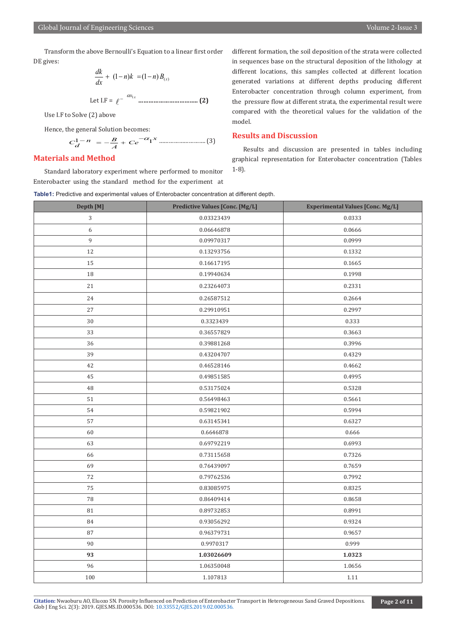Transform the above Bernoulli's Equation to a linear first order DE gives:

$$
\frac{dk}{dx} + (1-n)k = (1-n)B_{(x)}
$$
  
Let I.F =  $\ell^{-\alpha x_1}$  .......

Use I.F to Solve (2) above

Hence, the general Solution becomes:

$$
C_d^{1-n} = -\frac{B}{A} + Ce^{-\alpha_1 x}
$$
 (3)

### **Materials and Method**

Standard laboratory experiment where performed to monitor Enterobacter using the standard method for the experiment at

different formation, the soil deposition of the strata were collected in sequences base on the structural deposition of the lithology at different locations, this samples collected at different location generated variations at different depths producing different Enterobacter concentration through column experiment, from the pressure flow at different strata, the experimental result were compared with the theoretical values for the validation of the model.

#### **Results and Discussion**

Results and discussion are presented in tables including graphical representation for Enterobacter concentration (Tables 1-8).

**Table1:** Predictive and experimental values of Enterobacter concentration at different depth.

| Depth [M]  | <b>Predictive Values [Conc. [Mg/L]</b> | <b>Experimental Values [Conc. Mg/L]</b> |
|------------|----------------------------------------|-----------------------------------------|
| $\sqrt{3}$ | 0.03323439                             | 0.0333                                  |
| 6          | 0.06646878                             | 0.0666                                  |
| 9          | 0.09970317                             | 0.0999                                  |
| 12         | 0.13293756                             | 0.1332                                  |
| 15         | 0.16617195                             | 0.1665                                  |
| 18         | 0.19940634                             | 0.1998                                  |
| 21         | 0.23264073                             | 0.2331                                  |
| 24         | 0.26587512                             | 0.2664                                  |
| 27         | 0.29910951                             | 0.2997                                  |
| 30         | 0.3323439                              | 0.333                                   |
| 33         | 0.36557829                             | 0.3663                                  |
| 36         | 0.39881268                             | 0.3996                                  |
| 39         | 0.43204707                             | 0.4329                                  |
| 42         | 0.46528146                             | 0.4662                                  |
| 45         | 0.49851585                             | 0.4995                                  |
| 48         | 0.53175024                             | 0.5328                                  |
| 51         | 0.56498463                             | 0.5661                                  |
| 54         | 0.59821902                             | 0.5994                                  |
| 57         | 0.63145341                             | 0.6327                                  |
| 60         | 0.6646878                              | 0.666                                   |
| 63         | 0.69792219                             | 0.6993                                  |
| 66         | 0.73115658                             | 0.7326                                  |
| 69         | 0.76439097                             | 0.7659                                  |
| 72         | 0.79762536                             | 0.7992                                  |
| 75         | 0.83085975                             | 0.8325                                  |
| 78         | 0.86409414                             | 0.8658                                  |
| 81         | 0.89732853                             | 0.8991                                  |
| 84         | 0.93056292                             | 0.9324                                  |
| 87         | 0.96379731                             | 0.9657                                  |
| 90         | 0.9970317                              | 0.999                                   |
| 93         | 1.03026609                             | 1.0323                                  |
| 96         | 1.06350048                             | 1.0656                                  |
| 100        | 1.107813                               | 1.11                                    |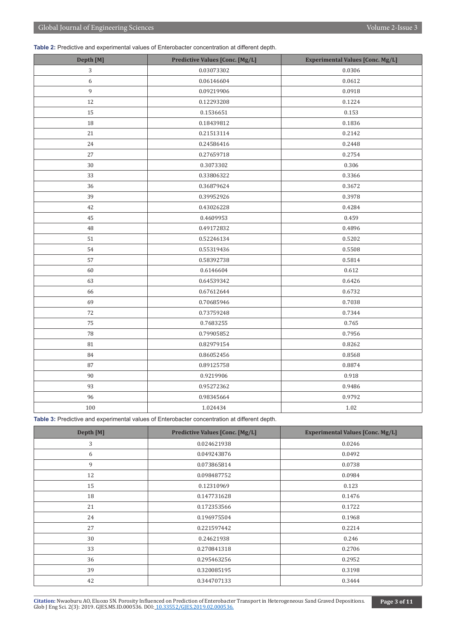**Table 2:** Predictive and experimental values of Enterobacter concentration at different depth.

| Depth [M] | <b>Predictive Values [Conc. [Mg/L]</b> | <b>Experimental Values [Conc. Mg/L]</b> |
|-----------|----------------------------------------|-----------------------------------------|
| 3         | 0.03073302                             | 0.0306                                  |
| 6         | 0.06146604                             | 0.0612                                  |
| 9         | 0.09219906                             | 0.0918                                  |
| 12        | 0.12293208                             | 0.1224                                  |
| 15        | 0.1536651                              | 0.153                                   |
| 18        | 0.18439812                             | 0.1836                                  |
| 21        | 0.21513114                             | 0.2142                                  |
| 24        | 0.24586416                             | 0.2448                                  |
| 27        | 0.27659718                             | 0.2754                                  |
| $30\,$    | 0.3073302                              | 0.306                                   |
| 33        | 0.33806322                             | 0.3366                                  |
| 36        | 0.36879624                             | 0.3672                                  |
| 39        | 0.39952926                             | 0.3978                                  |
| 42        | 0.43026228                             | 0.4284                                  |
| 45        | 0.4609953                              | 0.459                                   |
| 48        | 0.49172832                             | 0.4896                                  |
| 51        | 0.52246134                             | 0.5202                                  |
| 54        | 0.55319436                             | 0.5508                                  |
| 57        | 0.58392738                             | 0.5814                                  |
| 60        | 0.6146604                              | 0.612                                   |
| 63        | 0.64539342                             | 0.6426                                  |
| 66        | 0.67612644                             | 0.6732                                  |
| 69        | 0.70685946                             | 0.7038                                  |
| 72        | 0.73759248                             | 0.7344                                  |
| 75        | 0.7683255                              | 0.765                                   |
| 78        | 0.79905852                             | 0.7956                                  |
| 81        | 0.82979154                             | 0.8262                                  |
| 84        | 0.86052456                             | 0.8568                                  |
| 87        | 0.89125758                             | 0.8874                                  |
| 90        | 0.9219906                              | 0.918                                   |
| 93        | 0.95272362                             | 0.9486                                  |
| 96        | 0.98345664                             | 0.9792                                  |
| 100       | 1.024434                               | $1.02\,$                                |

**Table 3:** Predictive and experimental values of Enterobacter concentration at different depth.

| Depth [M] | <b>Predictive Values [Conc. [Mg/L]</b> | <b>Experimental Values [Conc. Mg/L]</b> |
|-----------|----------------------------------------|-----------------------------------------|
| 3         | 0.024621938                            | 0.0246                                  |
| 6         | 0.049243876                            | 0.0492                                  |
| 9         | 0.073865814                            | 0.0738                                  |
| 12        | 0.098487752                            | 0.0984                                  |
| 15        | 0.12310969                             | 0.123                                   |
| 18        | 0.147731628                            | 0.1476                                  |
| 21        | 0.172353566                            | 0.1722                                  |
| 24        | 0.196975504                            | 0.1968                                  |
| 27        | 0.221597442                            | 0.2214                                  |
| 30        | 0.24621938                             | 0.246                                   |
| 33        | 0.270841318                            | 0.2706                                  |
| 36        | 0.295463256                            | 0.2952                                  |
| 39        | 0.320085195                            | 0.3198                                  |
| 42        | 0.344707133                            | 0.3444                                  |

**Citation:** Nwaoburu AO, Eluozo SN. Porosity Influe[nced on Prediction of Enterobacte](http://dx.doi.org/10.33552/GJES.2019.02.000536)r Transport in Heterogeneous Sand Graved Depositions. Glob J Eng Sci. 2(3): 2019. GJES.MS.ID.000536. DOI: 10.33552/GJES.2019.02.000536.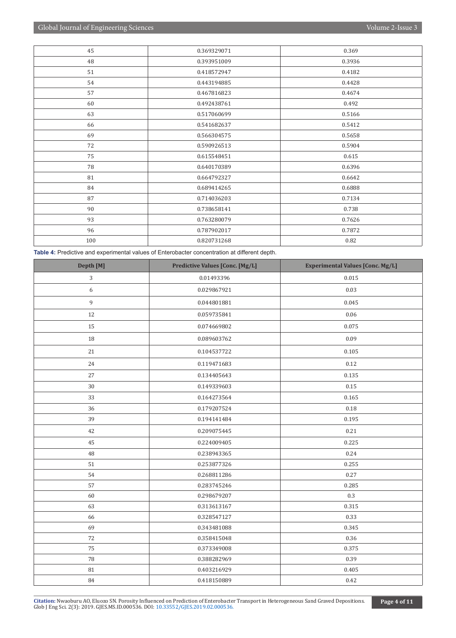| 45  | 0.369329071 | 0.369  |
|-----|-------------|--------|
| 48  | 0.393951009 | 0.3936 |
| 51  | 0.418572947 | 0.4182 |
| 54  | 0.443194885 | 0.4428 |
| 57  | 0.467816823 | 0.4674 |
| 60  | 0.492438761 | 0.492  |
| 63  | 0.517060699 | 0.5166 |
| 66  | 0.541682637 | 0.5412 |
| 69  | 0.566304575 | 0.5658 |
| 72  | 0.590926513 | 0.5904 |
| 75  | 0.615548451 | 0.615  |
| 78  | 0.640170389 | 0.6396 |
| 81  | 0.664792327 | 0.6642 |
| 84  | 0.689414265 | 0.6888 |
| 87  | 0.714036203 | 0.7134 |
| 90  | 0.738658141 | 0.738  |
| 93  | 0.763280079 | 0.7626 |
| 96  | 0.787902017 | 0.7872 |
| 100 | 0.820731268 | 0.82   |

**Table 4:** Predictive and experimental values of Enterobacter concentration at different depth.

| Depth [M]   | <b>Predictive Values [Conc. [Mg/L]</b> | <b>Experimental Values [Conc. Mg/L]</b> |
|-------------|----------------------------------------|-----------------------------------------|
| 3           | 0.01493396                             | 0.015                                   |
| 6           | 0.029867921                            | 0.03                                    |
| $\mathbf 9$ | 0.044801881                            | 0.045                                   |
| 12          | 0.059735841                            | $0.06\,$                                |
| 15          | 0.074669802                            | 0.075                                   |
| 18          | 0.089603762                            | 0.09                                    |
| 21          | 0.104537722                            | 0.105                                   |
| 24          | 0.119471683                            | 0.12                                    |
| 27          | 0.134405643                            | 0.135                                   |
| $30\,$      | 0.149339603                            | 0.15                                    |
| 33          | 0.164273564                            | 0.165                                   |
| 36          | 0.179207524                            | 0.18                                    |
| 39          | 0.194141484                            | 0.195                                   |
| 42          | 0.209075445                            | 0.21                                    |
| 45          | 0.224009405                            | 0.225                                   |
| 48          | 0.238943365                            | 0.24                                    |
| 51          | 0.253877326                            | 0.255                                   |
| 54          | 0.268811286                            | 0.27                                    |
| 57          | 0.283745246                            | 0.285                                   |
| 60          | 0.298679207                            | $0.3\,$                                 |
| 63          | 0.313613167                            | 0.315                                   |
| 66          | 0.328547127                            | 0.33                                    |
| 69          | 0.343481088                            | 0.345                                   |
| 72          | 0.358415048                            | 0.36                                    |
| 75          | 0.373349008                            | 0.375                                   |
| 78          | 0.388282969                            | 0.39                                    |
| 81          | 0.403216929                            | 0.405                                   |
| 84          | 0.418150889                            | 0.42                                    |

Citation: Nwaoburu AO, Eluozo SN. Porosity Influe[nced on Prediction of Enterobacte](http://dx.doi.org/10.33552/GJES.2019.02.000536)r Transport in Heterogeneous Sand Graved Depositions. Page 4 of 11 Club J Eng Sci. 2(3): 2019. GJES.MS.ID.000536. DOI: 10.33552/GJES.2019.02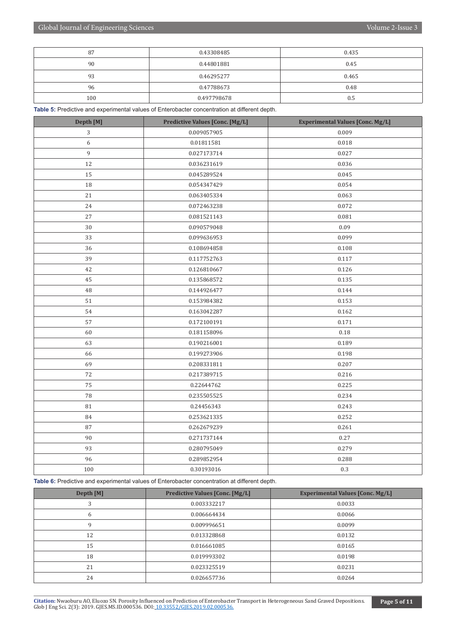| 87  | 0.43308485  | 0.435 |
|-----|-------------|-------|
| 90  | 0.44801881  | 0.45  |
| 93  | 0.46295277  | 0.465 |
| 96  | 0.47788673  | 0.48  |
| 100 | 0.497798678 | 0.5   |

**Table 5:** Predictive and experimental values of Enterobacter concentration at different depth.

| Depth [M] | <b>Predictive Values [Conc. [Mg/L]</b> | <b>Experimental Values [Conc. Mg/L]</b> |
|-----------|----------------------------------------|-----------------------------------------|
| 3         | 0.009057905                            | 0.009                                   |
| 6         | 0.01811581                             | 0.018                                   |
| 9         | 0.027173714                            | 0.027                                   |
| 12        | 0.036231619                            | 0.036                                   |
| 15        | 0.045289524                            | 0.045                                   |
| 18        | 0.054347429                            | 0.054                                   |
| 21        | 0.063405334                            | 0.063                                   |
| 24        | 0.072463238                            | 0.072                                   |
| $27\,$    | 0.081521143                            | 0.081                                   |
| 30        | 0.090579048                            | 0.09                                    |
| 33        | 0.099636953                            | 0.099                                   |
| 36        | 0.108694858                            | 0.108                                   |
| 39        | 0.117752763                            | 0.117                                   |
| 42        | 0.126810667                            | 0.126                                   |
| 45        | 0.135868572                            | 0.135                                   |
| 48        | 0.144926477                            | 0.144                                   |
| 51        | 0.153984382                            | 0.153                                   |
| 54        | 0.163042287                            | 0.162                                   |
| 57        | 0.172100191                            | 0.171                                   |
| 60        | 0.181158096                            | 0.18                                    |
| 63        | 0.190216001                            | 0.189                                   |
| 66        | 0.199273906                            | 0.198                                   |
| 69        | 0.208331811                            | 0.207                                   |
| 72        | 0.217389715                            | 0.216                                   |
| 75        | 0.22644762                             | 0.225                                   |
| 78        | 0.235505525                            | 0.234                                   |
| 81        | 0.24456343                             | 0.243                                   |
| 84        | 0.253621335                            | 0.252                                   |
| 87        | 0.262679239                            | 0.261                                   |
| $90\,$    | 0.271737144                            | 0.27                                    |
| 93        | 0.280795049                            | 0.279                                   |
| 96        | 0.289852954                            | 0.288                                   |
| 100       | 0.30193016                             | 0.3                                     |

**Table 6:** Predictive and experimental values of Enterobacter concentration at different depth.

| Depth [M] | <b>Predictive Values [Conc. [Mg/L]</b> | <b>Experimental Values [Conc. Mg/L]</b> |
|-----------|----------------------------------------|-----------------------------------------|
| 3         | 0.003332217                            | 0.0033                                  |
| 6         | 0.006664434                            | 0.0066                                  |
| 9         | 0.009996651                            | 0.0099                                  |
| 12        | 0.013328868                            | 0.0132                                  |
| 15        | 0.016661085                            | 0.0165                                  |
| 18        | 0.019993302                            | 0.0198                                  |
| 21        | 0.023325519                            | 0.0231                                  |
| 24        | 0.026657736                            | 0.0264                                  |

**Citation:** Nwaoburu AO, Eluozo SN. Porosity Influe[nced on Prediction of Enterobacte](http://dx.doi.org/10.33552/GJES.2019.02.000536)r Transport in Heterogeneous Sand Graved Depositions. Glob J Eng Sci. 2(3): 2019. GJES.MS.ID.000536. DOI: 10.33552/GJES.2019.02.000536.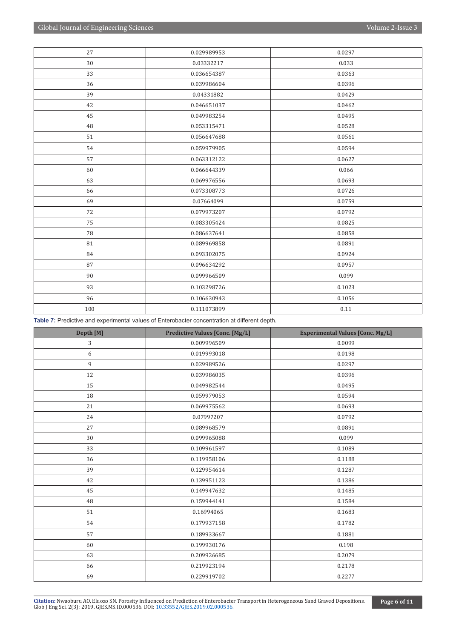| 27  | 0.029989953 | 0.0297 |
|-----|-------------|--------|
| 30  | 0.03332217  | 0.033  |
| 33  | 0.036654387 | 0.0363 |
| 36  | 0.039986604 | 0.0396 |
| 39  | 0.04331882  | 0.0429 |
| 42  | 0.046651037 | 0.0462 |
| 45  | 0.049983254 | 0.0495 |
| 48  | 0.053315471 | 0.0528 |
| 51  | 0.056647688 | 0.0561 |
| 54  | 0.059979905 | 0.0594 |
| 57  | 0.063312122 | 0.0627 |
| 60  | 0.066644339 | 0.066  |
| 63  | 0.069976556 | 0.0693 |
| 66  | 0.073308773 | 0.0726 |
| 69  | 0.07664099  | 0.0759 |
| 72  | 0.079973207 | 0.0792 |
| 75  | 0.083305424 | 0.0825 |
| 78  | 0.086637641 | 0.0858 |
| 81  | 0.089969858 | 0.0891 |
| 84  | 0.093302075 | 0.0924 |
| 87  | 0.096634292 | 0.0957 |
| 90  | 0.099966509 | 0.099  |
| 93  | 0.103298726 | 0.1023 |
| 96  | 0.106630943 | 0.1056 |
| 100 | 0.111073899 | 0.11   |

**Table 7:** Predictive and experimental values of Enterobacter concentration at different depth.

| Depth [M] | <b>Predictive Values [Conc. [Mg/L]</b> | <b>Experimental Values [Conc. Mg/L]</b> |
|-----------|----------------------------------------|-----------------------------------------|
| 3         | 0.009996509                            | 0.0099                                  |
| 6         | 0.019993018                            | 0.0198                                  |
| 9         | 0.029989526                            | 0.0297                                  |
| 12        | 0.039986035                            | 0.0396                                  |
| 15        | 0.049982544                            | 0.0495                                  |
| 18        | 0.059979053                            | 0.0594                                  |
| 21        | 0.069975562                            | 0.0693                                  |
| 24        | 0.07997207                             | 0.0792                                  |
| 27        | 0.089968579                            | 0.0891                                  |
| $30\,$    | 0.099965088                            | 0.099                                   |
| 33        | 0.109961597                            | 0.1089                                  |
| 36        | 0.119958106                            | 0.1188                                  |
| 39        | 0.129954614                            | 0.1287                                  |
| 42        | 0.139951123                            | 0.1386                                  |
| 45        | 0.149947632                            | 0.1485                                  |
| 48        | 0.159944141                            | 0.1584                                  |
| 51        | 0.16994065                             | 0.1683                                  |
| 54        | 0.179937158                            | 0.1782                                  |
| 57        | 0.189933667                            | 0.1881                                  |
| 60        | 0.199930176                            | 0.198                                   |
| 63        | 0.209926685                            | 0.2079                                  |
| 66        | 0.219923194                            | 0.2178                                  |
| 69        | 0.229919702                            | 0.2277                                  |

Citation: Nwaoburu AO, Eluozo SN. Porosity Influe[nced on Prediction of Enterobacte](http://dx.doi.org/10.33552/GJES.2019.02.000536)r Transport in Heterogeneous Sand Graved Depositions. Page 6 of 11 Club J Eng Sci. 2(3): 2019. GJES.MS.ID.000536. DOI: 10.33552/GJES.2019.02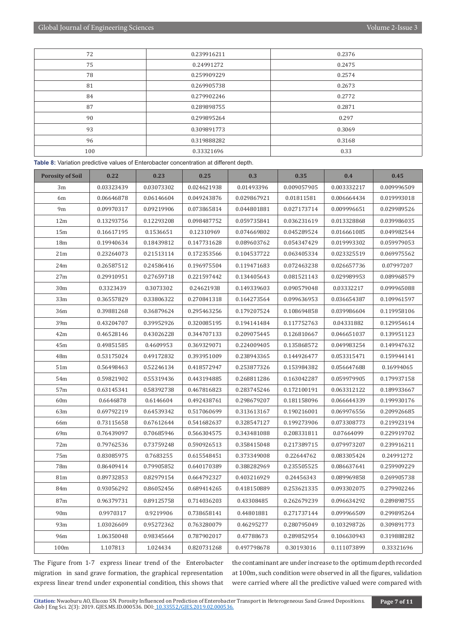| 72  | 0.239916211 | 0.2376 |
|-----|-------------|--------|
| 75  | 0.24991272  | 0.2475 |
| 78  | 0.259909229 | 0.2574 |
| 81  | 0.269905738 | 0.2673 |
| 84  | 0.279902246 | 0.2772 |
| 87  | 0.289898755 | 0.2871 |
| 90  | 0.299895264 | 0.297  |
| 93  | 0.309891773 | 0.3069 |
| 96  | 0.319888282 | 0.3168 |
| 100 | 0.33321696  | 0.33   |

**Table 8:** Variation predictive values of Enterobacter concentration at different depth.

| <b>Porosity of Soil</b> | 0.22       | 0.23       | 0.25        | 0.3         | 0.35        | 0.4         | 0.45        |
|-------------------------|------------|------------|-------------|-------------|-------------|-------------|-------------|
| 3m                      | 0.03323439 | 0.03073302 | 0.024621938 | 0.01493396  | 0.009057905 | 0.003332217 | 0.009996509 |
| 6m                      | 0.06646878 | 0.06146604 | 0.049243876 | 0.029867921 | 0.01811581  | 0.006664434 | 0.019993018 |
| 9m                      | 0.09970317 | 0.09219906 | 0.073865814 | 0.044801881 | 0.027173714 | 0.009996651 | 0.029989526 |
| 12m                     | 0.13293756 | 0.12293208 | 0.098487752 | 0.059735841 | 0.036231619 | 0.013328868 | 0.039986035 |
| 15m                     | 0.16617195 | 0.1536651  | 0.12310969  | 0.074669802 | 0.045289524 | 0.016661085 | 0.049982544 |
| 18 <sub>m</sub>         | 0.19940634 | 0.18439812 | 0.147731628 | 0.089603762 | 0.054347429 | 0.019993302 | 0.059979053 |
| 21m                     | 0.23264073 | 0.21513114 | 0.172353566 | 0.104537722 | 0.063405334 | 0.023325519 | 0.069975562 |
| 24m                     | 0.26587512 | 0.24586416 | 0.196975504 | 0.119471683 | 0.072463238 | 0.026657736 | 0.07997207  |
| 27m                     | 0.29910951 | 0.27659718 | 0.221597442 | 0.134405643 | 0.081521143 | 0.029989953 | 0.089968579 |
| 30 <sub>m</sub>         | 0.3323439  | 0.3073302  | 0.24621938  | 0.149339603 | 0.090579048 | 0.03332217  | 0.099965088 |
| 33m                     | 0.36557829 | 0.33806322 | 0.270841318 | 0.164273564 | 0.099636953 | 0.036654387 | 0.109961597 |
| 36m                     | 0.39881268 | 0.36879624 | 0.295463256 | 0.179207524 | 0.108694858 | 0.039986604 | 0.119958106 |
| 39m                     | 0.43204707 | 0.39952926 | 0.320085195 | 0.194141484 | 0.117752763 | 0.04331882  | 0.129954614 |
| 42m                     | 0.46528146 | 0.43026228 | 0.344707133 | 0.209075445 | 0.126810667 | 0.046651037 | 0.139951123 |
| 45m                     | 0.49851585 | 0.4609953  | 0.369329071 | 0.224009405 | 0.135868572 | 0.049983254 | 0.149947632 |
| 48m                     | 0.53175024 | 0.49172832 | 0.393951009 | 0.238943365 | 0.144926477 | 0.053315471 | 0.159944141 |
| 51 <sub>m</sub>         | 0.56498463 | 0.52246134 | 0.418572947 | 0.253877326 | 0.153984382 | 0.056647688 | 0.16994065  |
| 54m                     | 0.59821902 | 0.55319436 | 0.443194885 | 0.268811286 | 0.163042287 | 0.059979905 | 0.179937158 |
| 57m                     | 0.63145341 | 0.58392738 | 0.467816823 | 0.283745246 | 0.172100191 | 0.063312122 | 0.189933667 |
| 60m                     | 0.6646878  | 0.6146604  | 0.492438761 | 0.298679207 | 0.181158096 | 0.066644339 | 0.199930176 |
| 63m                     | 0.69792219 | 0.64539342 | 0.517060699 | 0.313613167 | 0.190216001 | 0.069976556 | 0.209926685 |
| 66m                     | 0.73115658 | 0.67612644 | 0.541682637 | 0.328547127 | 0.199273906 | 0.073308773 | 0.219923194 |
| 69m                     | 0.76439097 | 0.70685946 | 0.566304575 | 0.343481088 | 0.208331811 | 0.07664099  | 0.229919702 |
| 72m                     | 0.79762536 | 0.73759248 | 0.590926513 | 0.358415048 | 0.217389715 | 0.079973207 | 0.239916211 |
| 75m                     | 0.83085975 | 0.7683255  | 0.615548451 | 0.373349008 | 0.22644762  | 0.083305424 | 0.24991272  |
| 78m                     | 0.86409414 | 0.79905852 | 0.640170389 | 0.388282969 | 0.235505525 | 0.086637641 | 0.259909229 |
| 81m                     | 0.89732853 | 0.82979154 | 0.664792327 | 0.403216929 | 0.24456343  | 0.089969858 | 0.269905738 |
| 84m                     | 0.93056292 | 0.86052456 | 0.689414265 | 0.418150889 | 0.253621335 | 0.093302075 | 0.279902246 |
| 87m                     | 0.96379731 | 0.89125758 | 0.714036203 | 0.43308485  | 0.262679239 | 0.096634292 | 0.289898755 |
| 90m                     | 0.9970317  | 0.9219906  | 0.738658141 | 0.44801881  | 0.271737144 | 0.099966509 | 0.299895264 |
| 93m                     | 1.03026609 | 0.95272362 | 0.763280079 | 0.46295277  | 0.280795049 | 0.103298726 | 0.309891773 |
| 96m                     | 1.06350048 | 0.98345664 | 0.787902017 | 0.47788673  | 0.289852954 | 0.106630943 | 0.319888282 |
| 100m                    | 1.107813   | 1.024434   | 0.820731268 | 0.497798678 | 0.30193016  | 0.111073899 | 0.33321696  |

The Figure from 1-7 express linear trend of the Enterobacter migration in sand grave formation, the graphical representation express linear trend under exponential condition, this shows that the contaminant are under increase to the optimum depth recorded at 100m, such condition were observed in all the figures, validation were carried where all the predictive valued were compared with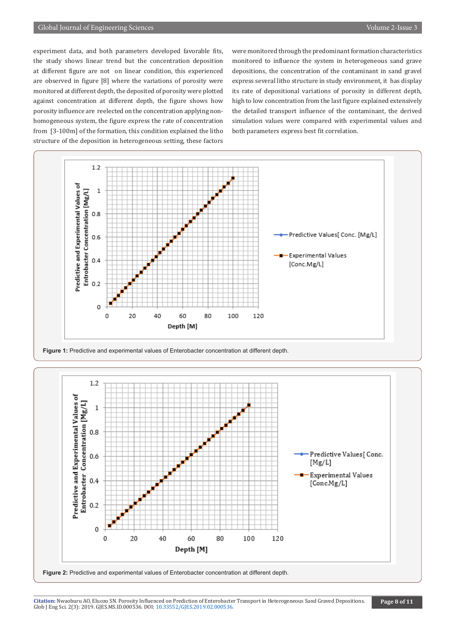experiment data, and both parameters developed favorable fits, the study shows linear trend but the concentration deposition at different figure are not on linear condition, this experienced are observed in figure [8] where the variations of porosity were monitored at different depth, the deposited of porosity were plotted against concentration at different depth, the figure shows how porosity influence are reelected on the concentration applying nonhomogeneous system, the figure express the rate of concentration from [3-100m] of the formation, this condition explained the litho structure of the deposition in heterogeneous setting, these factors

were monitored through the predominant formation characteristics monitored to influence the system in heterogeneous sand grave depositions, the concentration of the contaminant in sand gravel express several litho structure in study environment, it has display its rate of depositional variations of porosity in different depth, high to low concentration from the last figure explained extensively the detailed transport influence of the contaminant, the derived simulation values were compared with experimental values and both parameters express best fit correlation.



**Figure 1:** Predictive and experimental values of Enterobacter concentration at different depth.

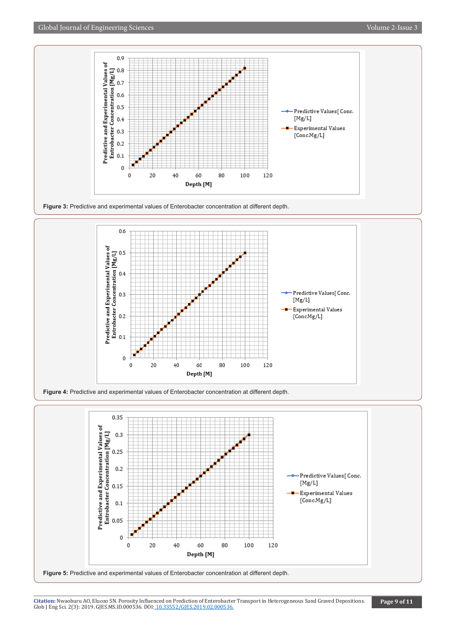







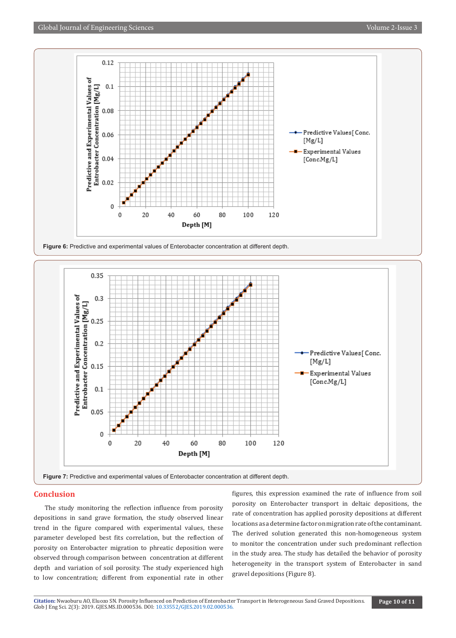

Figure 6: Predictive and experimental values of Enterobacter concentration at different depth.



#### **Conclusion**

The study monitoring the reflection influence from porosity depositions in sand grave formation, the study observed linear trend in the figure compared with experimental values, these parameter developed best fits correlation, but the reflection of porosity on Enterobacter migration to phreatic deposition were observed through comparison between concentration at different depth and variation of soil porosity. The study experienced high to low concentration; different from exponential rate in other

figures, this expression examined the rate of influence from soil porosity on Enterobacter transport in deltaic depositions, the rate of concentration has applied porosity depositions at different locations as a determine factor on migration rate of the contaminant. The derived solution generated this non-homogeneous system to monitor the concentration under such predominant reflection in the study area. The study has detailed the behavior of porosity heterogeneity in the transport system of Enterobacter in sand gravel depositions (Figure 8).